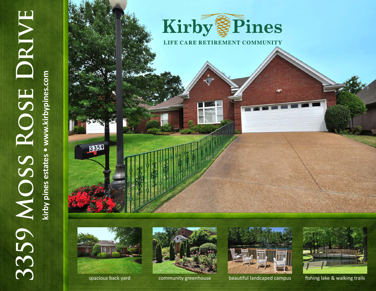

kirby pines estates . www.kirbypines.com **kirby pines estates • www.kirbypines.com**











spacious back yard community greenhouse beautiful landcaped campus fishing lake & walking trails